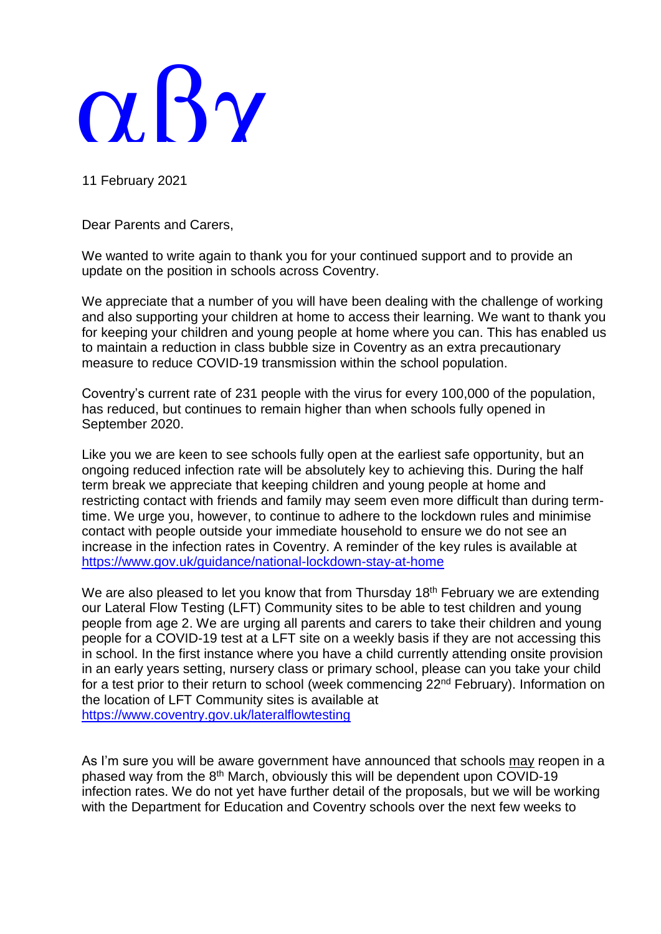## $\alpha$ . By

11 February 2021

Dear Parents and Carers,

We wanted to write again to thank you for your continued support and to provide an update on the position in schools across Coventry.

We appreciate that a number of you will have been dealing with the challenge of working and also supporting your children at home to access their learning. We want to thank you for keeping your children and young people at home where you can. This has enabled us to maintain a reduction in class bubble size in Coventry as an extra precautionary measure to reduce COVID-19 transmission within the school population.

Coventry's current rate of 231 people with the virus for every 100,000 of the population, has reduced, but continues to remain higher than when schools fully opened in September 2020.

Like you we are keen to see schools fully open at the earliest safe opportunity, but an ongoing reduced infection rate will be absolutely key to achieving this. During the half term break we appreciate that keeping children and young people at home and restricting contact with friends and family may seem even more difficult than during termtime. We urge you, however, to continue to adhere to the lockdown rules and minimise contact with people outside your immediate household to ensure we do not see an increase in the infection rates in Coventry. A reminder of the key rules is available at <https://www.gov.uk/guidance/national-lockdown-stay-at-home>

We are also pleased to let you know that from Thursday 18<sup>th</sup> February we are extending our Lateral Flow Testing (LFT) Community sites to be able to test children and young people from age 2. We are urging all parents and carers to take their children and young people for a COVID-19 test at a LFT site on a weekly basis if they are not accessing this in school. In the first instance where you have a child currently attending onsite provision in an early years setting, nursery class or primary school, please can you take your child for a test prior to their return to school (week commencing 22<sup>nd</sup> February). Information on the location of LFT Community sites is available at <https://www.coventry.gov.uk/lateralflowtesting>

As I'm sure you will be aware government have announced that schools may reopen in a phased way from the 8<sup>th</sup> March, obviously this will be dependent upon COVID-19 infection rates. We do not yet have further detail of the proposals, but we will be working with the Department for Education and Coventry schools over the next few weeks to